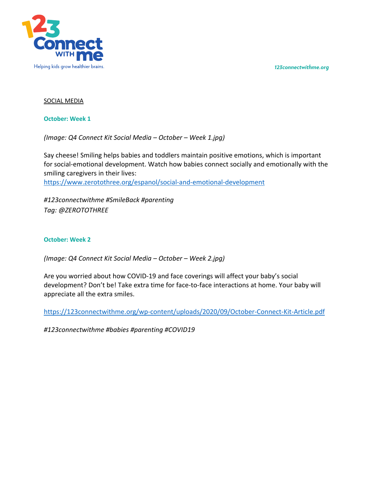*123connectwithme.org*



## SOCIAL MEDIA

**October: Week 1**

*(Image: Q4 Connect Kit Social Media – October – Week 1.jpg)*

Say cheese! Smiling helps babies and toddlers maintain positive emotions, which is important for social-emotional development. Watch how babies connect socially and emotionally with the smiling caregivers in their lives: https://www.zerotothree.org/espanol/social-and-emotional-development

*#123connectwithme #SmileBack #parenting Tag: @ZEROTOTHREE*

## **October: Week 2**

*(Image: Q4 Connect Kit Social Media – October – Week 2.jpg)*

Are you worried about how COVID-19 and face coverings will affect your baby's social development? Don't be! Take extra time for face-to-face interactions at home. Your baby will appreciate all the extra smiles.

https://123connectwithme.org/wp-content/uploads/2020/09/October-Connect-Kit-Article.pdf

*#123connectwithme #babies #parenting #COVID19*